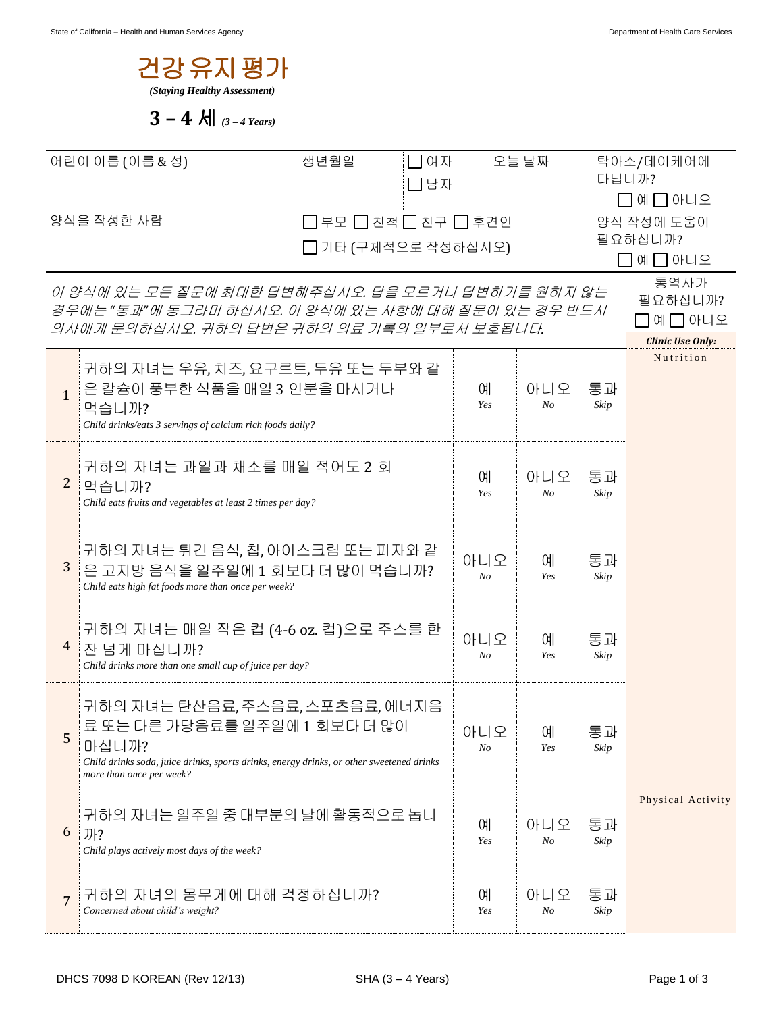

3 – 4 
$$
\text{Al}
$$
 (3 – 4 Years)

| 어린이 이름 (이름 & 성)                                                                                    |                                                                                                   | 생년월일              | □여자<br>□남자         |          | 오늘 날짜     |                  | 탁아소/데이케어에<br>다닙니까?                   |  |
|----------------------------------------------------------------------------------------------------|---------------------------------------------------------------------------------------------------|-------------------|--------------------|----------|-----------|------------------|--------------------------------------|--|
|                                                                                                    |                                                                                                   |                   |                    |          |           |                  | 예 그 아니오                              |  |
| 양식을 작성한 사람                                                                                         |                                                                                                   |                   | 부모 □ 친척 □ 친구 □ 후견인 |          |           |                  | 양식 작성에 도움이                           |  |
|                                                                                                    |                                                                                                   | 기타 (구체적으로 작성하십시오) |                    |          |           | 필요하십니까?<br>예□아니오 |                                      |  |
|                                                                                                    |                                                                                                   |                   |                    |          |           |                  |                                      |  |
|                                                                                                    | 이 양식에 있는 모든 질문에 최대한 답변해주십시오. 답을 모르거나 답변하기를 원하지 않는                                                 |                   |                    |          |           |                  | 필요하십니까?                              |  |
| 경우에는 "통과"에 동그라미 하십시오. 이 양식에 있는 사항에 대해 질문이 있는 경우 반드시<br>의사에게 문의하십시오. 귀하의 답변은 귀하의 의료 기록의 일부로서 보호됩니다. |                                                                                                   |                   |                    |          |           |                  | 예미아니오                                |  |
|                                                                                                    |                                                                                                   |                   |                    |          |           |                  | <b>Clinic Use Only:</b><br>Nutrition |  |
|                                                                                                    | 귀하의 자녀는 우유, 치즈, 요구르트, 두유 또는 두부와 같                                                                 |                   |                    |          |           |                  |                                      |  |
| $\mathbf{1}$                                                                                       | 은 칼슘이 풍부한 식품을 매일 3 인분을 마시거나<br>먹습니까?                                                              |                   |                    | 예<br>Yes | 아니오<br>No | 통과<br>Skip       |                                      |  |
|                                                                                                    | Child drinks/eats 3 servings of calcium rich foods daily?                                         |                   |                    |          |           |                  |                                      |  |
|                                                                                                    |                                                                                                   |                   |                    |          |           |                  |                                      |  |
| $\overline{2}$                                                                                     | 귀하의 자녀는 과일과 채소를 매일 적어도 2 회<br>먹습니까?                                                               |                   |                    | 예        | 아니오       | 통과               |                                      |  |
|                                                                                                    | Child eats fruits and vegetables at least 2 times per day?                                        |                   | Yes                | $N_{O}$  | Skip      |                  |                                      |  |
|                                                                                                    |                                                                                                   |                   |                    |          |           |                  |                                      |  |
|                                                                                                    | 귀하의 자녀는 튀긴 음식, 칩, 아이스크림 또는 피자와 같                                                                  |                   |                    | 아니오      | 예         | 통과               |                                      |  |
| 3                                                                                                  | 은 고지방 음식을 일주일에 1 회보다 더 많이 먹습니까?<br>Child eats high fat foods more than once per week?             |                   |                    | No       | Yes       | Skip             |                                      |  |
|                                                                                                    |                                                                                                   |                   |                    |          |           |                  |                                      |  |
|                                                                                                    | 귀하의 자녀는 매일 작은 컵 (4-6 oz. 컵)으로 주스를 한                                                               |                   |                    | 아니오      | 예         | 통과               |                                      |  |
| 4                                                                                                  | 잔 넘게 마십니까?                                                                                        |                   |                    | $N_{O}$  | Yes       | Skip             |                                      |  |
|                                                                                                    | Child drinks more than one small cup of juice per day?                                            |                   |                    |          |           |                  |                                      |  |
|                                                                                                    | 귀하의 자녀는 탄산음료, 주스음료, 스포츠음료, 에너지음                                                                   |                   |                    |          |           |                  |                                      |  |
| 5                                                                                                  | 료 또는 다른 가당음료를 일주일에 1 회보다 더 많이                                                                     |                   |                    | 아니오      | 예         | 통과               |                                      |  |
|                                                                                                    | 마십니까?<br>Child drinks soda, juice drinks, sports drinks, energy drinks, or other sweetened drinks |                   |                    | No       | Yes       | Skip             |                                      |  |
|                                                                                                    | more than once per week?                                                                          |                   |                    |          |           |                  |                                      |  |
|                                                                                                    | 귀하의 자녀는 일주일 중 대부분의 날에 활동적으로 놉니                                                                    |                   |                    |          |           |                  | Physical Activity                    |  |
| 6                                                                                                  | 까?                                                                                                |                   |                    | 예        | 아니오       | 통과               |                                      |  |
|                                                                                                    | Child plays actively most days of the week?                                                       |                   |                    | Yes      | No        | Skip             |                                      |  |
|                                                                                                    |                                                                                                   |                   |                    |          |           |                  |                                      |  |
| 7                                                                                                  | 귀하의 자녀의 몸무게에 대해 걱정하십니까?<br>Concerned about child's weight?                                        |                   |                    | 예<br>Yes | 아니오<br>No | 통과<br>Skip       |                                      |  |
|                                                                                                    |                                                                                                   |                   |                    |          |           |                  |                                      |  |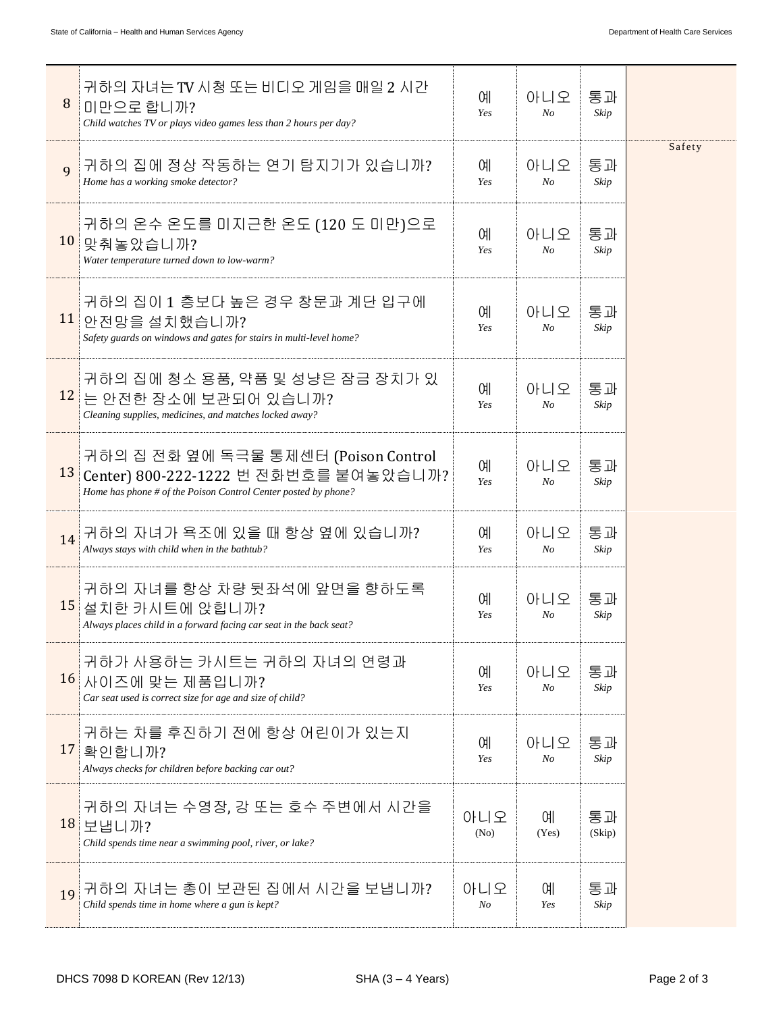| 8  | 귀하의 자녀는 TV 시청 또는 비디오 게임을 매일 2 시간<br>미만으로 합니까?<br>Child watches TV or plays video games less than 2 hours per day?                               | <b>CHI</b><br>Yes     | 아니오<br>$N_{O}$        | 통과<br>Skip   |        |
|----|-------------------------------------------------------------------------------------------------------------------------------------------------|-----------------------|-----------------------|--------------|--------|
| 9  | 귀하의 집에 정상 작동하는 연기 탐지기가 있습니까?<br>Home has a working smoke detector?                                                                              | ΟH<br>Yes             | 아니오<br>N <sub>O</sub> | 통과<br>Skip   | Safety |
| 10 | 귀하의 온수 온도를 미지근한 온도 (120 도 미만)으로<br>맞춰놓았습니까?<br>Water temperature turned down to low-warm?                                                       | <b>CHI</b><br>Yes     | 아니오<br>$N_{O}$        | 통과<br>Skip   |        |
| 11 | 귀하의 집이 1 층보다 높은 경우 창문과 계단 입구에<br>안전망을 설치했습니까?<br>Safety guards on windows and gates for stairs in multi-level home?                             | ΟH<br>Yes             | 아니오<br>N <sub>O</sub> | 통과<br>Skip   |        |
|    | 귀하의 집에 청소 용품, 약품 및 성냥은 잠금 장치가 있<br><mark>12</mark> 는 안전한 장소에 보관되어 있습니까?<br>Cleaning supplies, medicines, and matches locked away?               | <b>CHI</b><br>Yes     | 아니오<br>N <sub>O</sub> | 통과<br>Skip   |        |
| 13 | 귀하의 집 전화 옆에 독극물 통제센터 (Poison Control<br>Center) 800-222-1222 번 전화번호를 붙여놓았습니까?<br>Home has phone # of the Poison Control Center posted by phone? | <b>CHI</b><br>Yes     | 아니오<br>N <sub>O</sub> | 통과<br>Skip   |        |
| 14 | 귀하의 자녀가 욕조에 있을 때 항상 옆에 있습니까?<br>Always stays with child when in the bathtub?                                                                    | <b>CHI</b><br>Yes     | 아니오<br>N <sub>O</sub> | 통과<br>Skip   |        |
| 15 | 귀하의 자녀를 항상 차량 뒷좌석에 앞면을 향하도록<br>설치한 카시트에 앉힙니까?<br>Always places child in a forward facing car seat in the back seat?                             | 예<br>Yes              | 아니오<br>$N_{O}$        | 통과<br>Skip   |        |
| 16 | 귀하가 사용하는 카시트는 귀하의 자녀의 연령과<br>사이즈에 맞는 제품입니까?<br>Car seat used is correct size for age and size of child?                                         | <b>CHI</b><br>Yes     | 아니오<br>No             | 통과<br>Skip   |        |
|    | 귀하는 차를 후진하기 전에 항상 어린이가 있는지<br>17 확인합니까?<br>Always checks for children before backing car out?                                                   | <b>CHI</b><br>Yes     | 아니오<br>$N_{O}$        | 통과<br>Skip   |        |
| 18 | 귀하의 자녀는 수영장, 강 또는 호수 주변에서 시간을<br>보냅니까?<br>Child spends time near a swimming pool, river, or lake?                                               | 아니오<br>(No)           | СH<br>(Yes)           | 통과<br>(Skip) |        |
| 19 | 귀하의 자녀는 총이 보관된 집에서 시간을 보냅니까?<br>Child spends time in home where a gun is kept?                                                                  | 아니오<br>N <sub>O</sub> | 예<br>Yes              | 통과<br>Skip   |        |